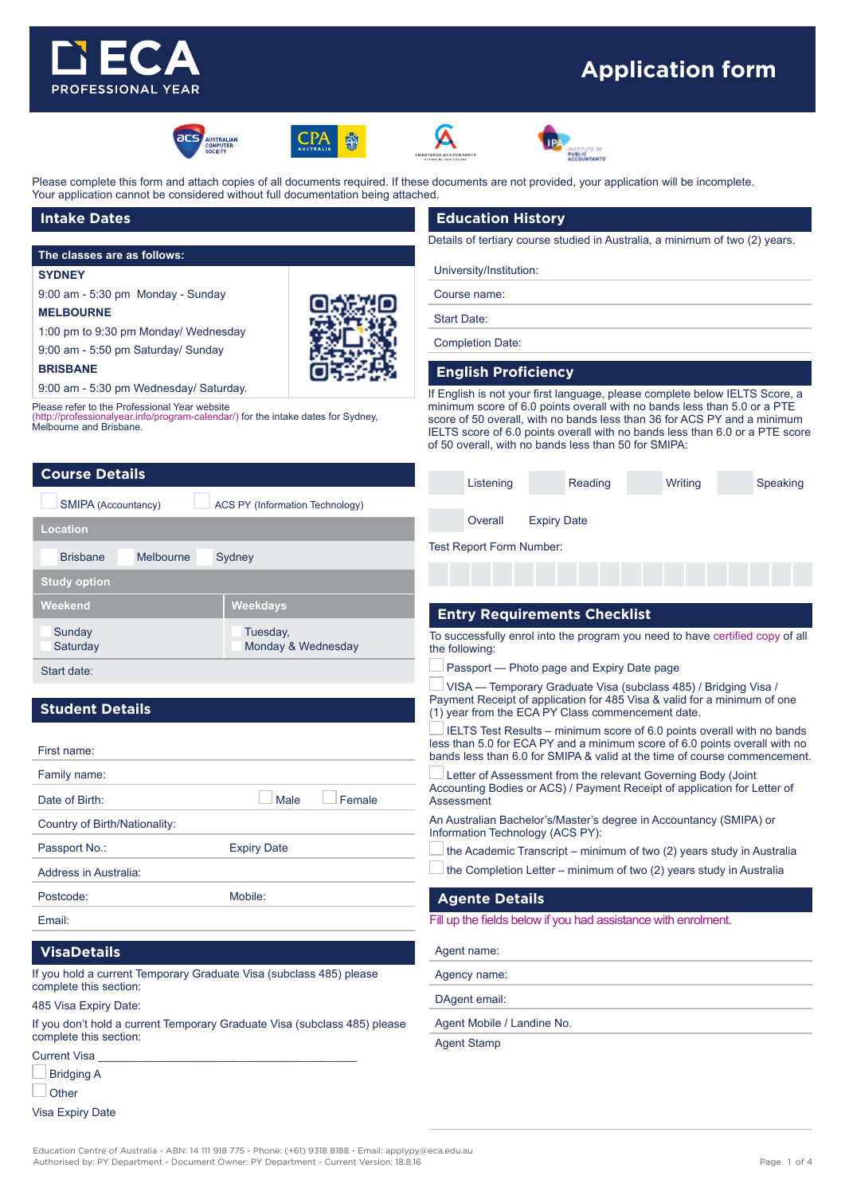

# **Application form**











Please complete this form and attach copies of all documents required. If these documents are not provided, your application will be incomplete. Your application cannot be considered without full documentation being attached.

## **Intake Dates**

#### **The classes are as follows:**

#### **SYDNEY**

9:00 am - 5:30 pm Monday - Sunday

#### **MELBOURNE**

**BRISBANE**

1:00 pm to 9:30 pm Monday/ Wednesday 9:00 am - 5:50 pm Saturday/ Sunday



9:00 am - 5:30 pm Wednesday/ Saturday.

Please refer to the Professional Year website

(http://professionalyear.info/program-calendar/) for the intake dates for Sydney, Melbourne and Brisbane.

# **Course Details**

| SMIPA (Accountancy)          | <b>ACS PY (Information Technology)</b> |  |  |
|------------------------------|----------------------------------------|--|--|
| Location                     |                                        |  |  |
| <b>Brisbane</b><br>Melbourne | Sydney                                 |  |  |
| <b>Study option</b>          |                                        |  |  |
| Weekend                      | Weekdays                               |  |  |
| Sunday<br>Saturday           | Tuesday,<br>Monday & Wednesday         |  |  |
| Start date:                  |                                        |  |  |

# **Student Details**

| First name:                   |                    |  |
|-------------------------------|--------------------|--|
| Family name:                  |                    |  |
| Date of Birth:                | Female<br>Male     |  |
| Country of Birth/Nationality: |                    |  |
| Passport No.:                 | <b>Expiry Date</b> |  |
| Address in Australia:         |                    |  |
| Postcode:                     | Mobile:            |  |
| Email:                        |                    |  |

# **VisaDetails**

If you hold a current Temporary Graduate Visa (subclass 485) please complete this section:

485 Visa Expiry Date:

If you don't hold a current Temporary Graduate Visa (subclass 485) please complete this section:

Current Visa

| <b>Bridging A</b> |
|-------------------|
| Other             |

Visa Expiry Date

# **Education History**

Details of tertiary course studied in Australia, a minimum of two (2) years.

# University/Institution:

Course name:

Start Date:

Completion Date:

#### **English Proficiency**

If English is not your first language, please complete below IELTS Score, a minimum score of 6.0 points overall with no bands less than 5.0 or a PTE score of 50 overall, with no bands less than 36 for ACS PY and a minimum IELTS score of 6.0 points overall with no bands less than 6.0 or a PTE score of 50 overall, with no bands less than 50 for SMIPA:

| Listening |                    | Reading | Writing | Speaking |
|-----------|--------------------|---------|---------|----------|
|           |                    |         |         |          |
| Overall   | <b>Expiry Date</b> |         |         |          |

Test Report Form Number:

# **Entry Requirements Checklist**

To successfully enrol into the program you need to have certified copy of all the following:

Passport — Photo page and Expiry Date page

 $\Box$  VISA — Temporary Graduate Visa (subclass 485) / Bridging Visa / Payment Receipt of application for 485 Visa & valid for a minimum of one (1) year from the ECA PY Class commencement date.

I IELTS Test Results – minimum score of 6.0 points overall with no bands less than 5.0 for ECA PY and a minimum score of 6.0 points overall with no bands less than 6.0 for SMIPA & valid at the time of course commencement.

 Letter of Assessment from the relevant Governing Body (Joint Accounting Bodies or ACS) / Payment Receipt of application for Letter of **Assessment** 

An Australian Bachelor's/Master's degree in Accountancy (SMIPA) or Information Technology (ACS PY):

- the Academic Transcript minimum of two (2) years study in Australia
- $\Box$  the Completion Letter minimum of two (2) years study in Australia

#### **Agente Details**

Fill up the fields below if you had assistance with enrolment.

Agent name:

Agency name:

DAgent email:

Agent Mobile / Landine No.

Agent Stamp

Education Centre of Australia - ABN: 14 111 918 775 - Phone: (+61) 9318 8188 - Email: applypy@eca.edu.au Authorised by: PY Department - Document Owner: PY Department - Current Version: 18.8.16 Page 1 of 4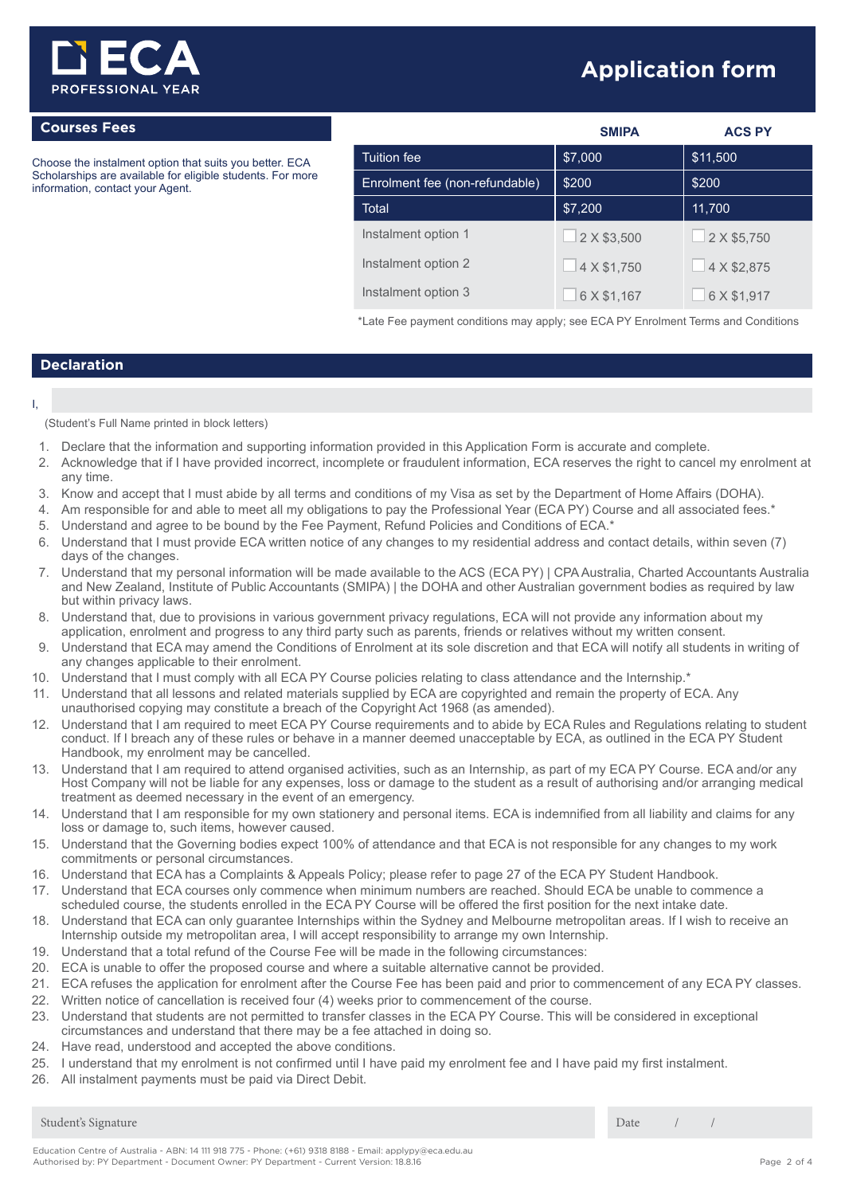

# **Application form**

# **Courses Fees**

Choose the instalment option that suits you better. ECA Scholarships are available for eligible students. For more information, contact your Agent.

|                                | <b>SMIPA</b> | <b>ACS PY</b> |
|--------------------------------|--------------|---------------|
| Tuition fee                    | \$7,000      | \$11,500      |
| Enrolment fee (non-refundable) | \$200        | \$200         |
| Total                          | \$7,200      | 11,700        |
| Instalment option 1            | 2 X \$3,500  | 2 X \$5,750   |
| Instalment option 2            | 4 X \$1,750  | 4 X \$2,875   |
| Instalment option 3            | 6 X \$1,167  | 6 X \$1,917   |

\*Late Fee payment conditions may apply; see ECA PY Enrolment Terms and Conditions

# **Declaration**

#### I,

(Student's Full Name printed in block letters)

- 1. Declare that the information and supporting information provided in this Application Form is accurate and complete.
- 2. Acknowledge that if I have provided incorrect, incomplete or fraudulent information, ECA reserves the right to cancel my enrolment at any time.
- 3. Know and accept that I must abide by all terms and conditions of my Visa as set by the Department of Home Affairs (DOHA).
- 4. Am responsible for and able to meet all my obligations to pay the Professional Year (ECA PY) Course and all associated fees.\*
- 5. Understand and agree to be bound by the Fee Payment, Refund Policies and Conditions of ECA.\*
- 6. Understand that I must provide ECA written notice of any changes to my residential address and contact details, within seven (7) days of the changes.
- 7. Understand that my personal information will be made available to the ACS (ECA PY) | CPA Australia, Charted Accountants Australia and New Zealand, Institute of Public Accountants (SMIPA) | the DOHA and other Australian government bodies as required by law but within privacy laws.
- 8. Understand that, due to provisions in various government privacy regulations, ECA will not provide any information about my application, enrolment and progress to any third party such as parents, friends or relatives without my written consent.
- 9. Understand that ECA may amend the Conditions of Enrolment at its sole discretion and that ECA will notify all students in writing of any changes applicable to their enrolment.
- 10. Understand that I must comply with all ECA PY Course policies relating to class attendance and the Internship.\*
- 11. Understand that all lessons and related materials supplied by ECA are copyrighted and remain the property of ECA. Any unauthorised copying may constitute a breach of the Copyright Act 1968 (as amended).
- 12. Understand that I am required to meet ECA PY Course requirements and to abide by ECA Rules and Regulations relating to student conduct. If I breach any of these rules or behave in a manner deemed unacceptable by ECA, as outlined in the ECA PY Student Handbook, my enrolment may be cancelled.
- 13. Understand that I am required to attend organised activities, such as an Internship, as part of my ECA PY Course. ECA and/or any Host Company will not be liable for any expenses, loss or damage to the student as a result of authorising and/or arranging medical treatment as deemed necessary in the event of an emergency.
- 14. Understand that I am responsible for my own stationery and personal items. ECA is indemnified from all liability and claims for any loss or damage to, such items, however caused.
- 15. Understand that the Governing bodies expect 100% of attendance and that ECA is not responsible for any changes to my work commitments or personal circumstances.
- 16. Understand that ECA has a Complaints & Appeals Policy; please refer to page 27 of the ECA PY Student Handbook.
- 17. Understand that ECA courses only commence when minimum numbers are reached. Should ECA be unable to commence a scheduled course, the students enrolled in the ECA PY Course will be offered the first position for the next intake date.
- 18. Understand that ECA can only guarantee Internships within the Sydney and Melbourne metropolitan areas. If I wish to receive an Internship outside my metropolitan area, I will accept responsibility to arrange my own Internship.
- 19. Understand that a total refund of the Course Fee will be made in the following circumstances:
- 20. ECA is unable to offer the proposed course and where a suitable alternative cannot be provided.
- 21. ECA refuses the application for enrolment after the Course Fee has been paid and prior to commencement of any ECA PY classes.
- 22. Written notice of cancellation is received four (4) weeks prior to commencement of the course.
- 23. Understand that students are not permitted to transfer classes in the ECA PY Course. This will be considered in exceptional circumstances and understand that there may be a fee attached in doing so.
- 24. Have read, understood and accepted the above conditions.
- 25. I understand that my enrolment is not confirmed until I have paid my enrolment fee and I have paid my first instalment.
- 26. All instalment payments must be paid via Direct Debit.

Student's Signature Date / /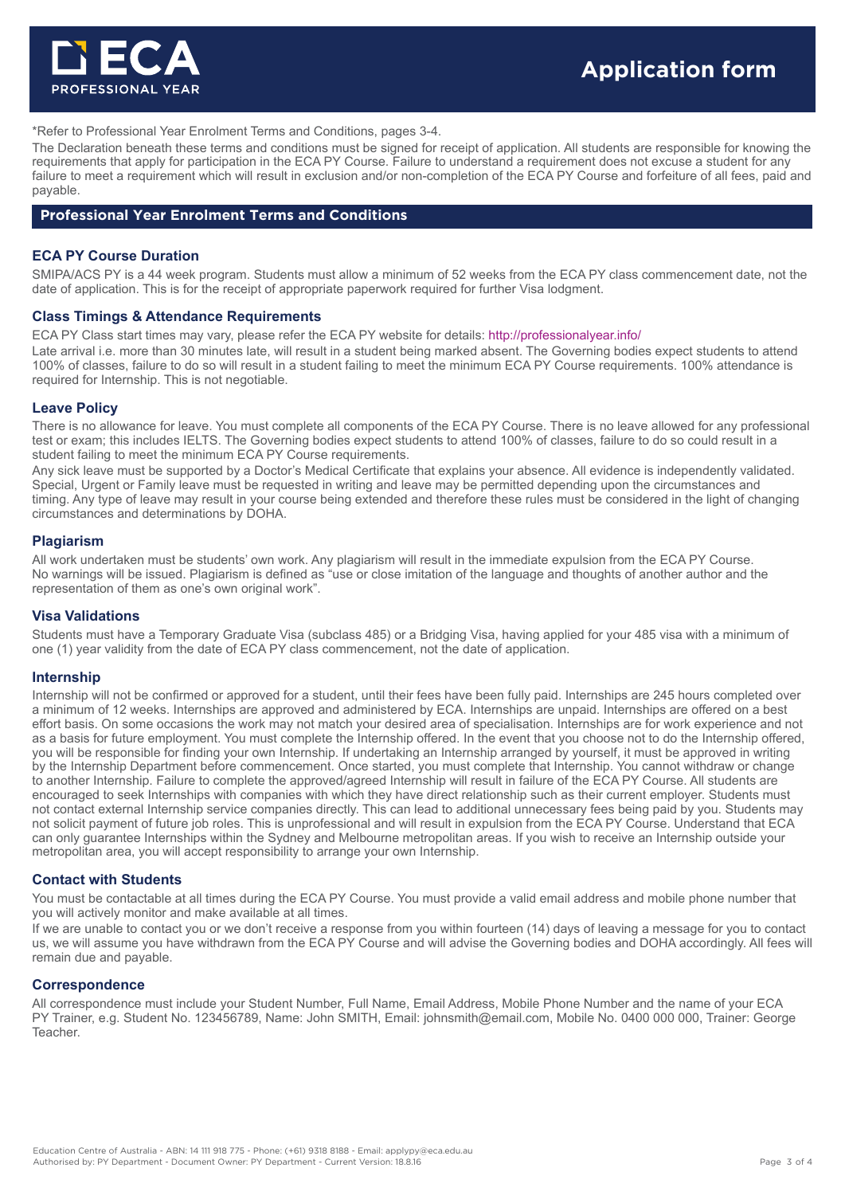

\*Refer to Professional Year Enrolment Terms and Conditions, pages 3-4.

The Declaration beneath these terms and conditions must be signed for receipt of application. All students are responsible for knowing the requirements that apply for participation in the ECA PY Course. Failure to understand a requirement does not excuse a student for any failure to meet a requirement which will result in exclusion and/or non-completion of the ECA PY Course and forfeiture of all fees, paid and payable.

# **Professional Year Enrolment Terms and Conditions**

# **ECA PY Course Duration**

SMIPA/ACS PY is a 44 week program. Students must allow a minimum of 52 weeks from the ECA PY class commencement date, not the date of application. This is for the receipt of appropriate paperwork required for further Visa lodgment.

#### **Class Timings & Attendance Requirements**

ECA PY Class start times may vary, please refer the ECA PY website for details: http://professionalyear.info/

Late arrival i.e. more than 30 minutes late, will result in a student being marked absent. The Governing bodies expect students to attend 100% of classes, failure to do so will result in a student failing to meet the minimum ECA PY Course requirements. 100% attendance is required for Internship. This is not negotiable.

#### **Leave Policy**

There is no allowance for leave. You must complete all components of the ECA PY Course. There is no leave allowed for any professional test or exam; this includes IELTS. The Governing bodies expect students to attend 100% of classes, failure to do so could result in a student failing to meet the minimum ECA PY Course requirements.

Any sick leave must be supported by a Doctor's Medical Certificate that explains your absence. All evidence is independently validated. Special, Urgent or Family leave must be requested in writing and leave may be permitted depending upon the circumstances and timing. Any type of leave may result in your course being extended and therefore these rules must be considered in the light of changing circumstances and determinations by DOHA.

#### **Plagiarism**

All work undertaken must be students' own work. Any plagiarism will result in the immediate expulsion from the ECA PY Course. No warnings will be issued. Plagiarism is defined as "use or close imitation of the language and thoughts of another author and the representation of them as one's own original work".

#### **Visa Validations**

Students must have a Temporary Graduate Visa (subclass 485) or a Bridging Visa, having applied for your 485 visa with a minimum of one (1) year validity from the date of ECA PY class commencement, not the date of application.

#### **Internship**

Internship will not be confirmed or approved for a student, until their fees have been fully paid. Internships are 245 hours completed over a minimum of 12 weeks. Internships are approved and administered by ECA. Internships are unpaid. Internships are offered on a best effort basis. On some occasions the work may not match your desired area of specialisation. Internships are for work experience and not as a basis for future employment. You must complete the Internship offered. In the event that you choose not to do the Internship offered, you will be responsible for finding your own Internship. If undertaking an Internship arranged by yourself, it must be approved in writing by the Internship Department before commencement. Once started, you must complete that Internship. You cannot withdraw or change to another Internship. Failure to complete the approved/agreed Internship will result in failure of the ECA PY Course. All students are encouraged to seek Internships with companies with which they have direct relationship such as their current employer. Students must not contact external Internship service companies directly. This can lead to additional unnecessary fees being paid by you. Students may not solicit payment of future job roles. This is unprofessional and will result in expulsion from the ECA PY Course. Understand that ECA can only guarantee Internships within the Sydney and Melbourne metropolitan areas. If you wish to receive an Internship outside your metropolitan area, you will accept responsibility to arrange your own Internship.

#### **Contact with Students**

You must be contactable at all times during the ECA PY Course. You must provide a valid email address and mobile phone number that you will actively monitor and make available at all times.

If we are unable to contact you or we don't receive a response from you within fourteen (14) days of leaving a message for you to contact us, we will assume you have withdrawn from the ECA PY Course and will advise the Governing bodies and DOHA accordingly. All fees will remain due and payable.

#### **Correspondence**

All correspondence must include your Student Number, Full Name, Email Address, Mobile Phone Number and the name of your ECA PY Trainer, e.g. Student No. 123456789, Name: John SMITH, Email: johnsmith@email.com, Mobile No. 0400 000 000, Trainer: George **Teacher**